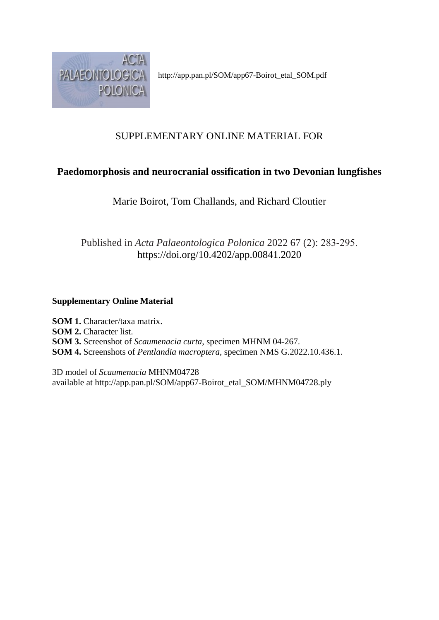

http://app.pan.pl/SOM/app67-Boirot\_etal\_SOM.pdf

# SUPPLEMENTARY ONLINE MATERIAL FOR

# **Paedomorphosis and neurocranial ossification in two Devonian lungfishes**

Marie Boirot, Tom Challands, and Richard Cloutier

# Published in *Acta Palaeontologica Polonica* 2022 67 (2): 283-295. https://doi.org/10.4202/app.00841.2020

### **Supplementary Online Material**

**SOM 1.** Character/taxa matrix. **SOM 2.** Character list. **SOM 3.** Screenshot of *Scaumenacia curta*, specimen MHNM 04-267. **SOM 4.** Screenshots of *Pentlandia macroptera*, specimen NMS G.2022.10.436.1.

3D model of *Scaumenacia* MHNM04728 available at http://app.pan.pl/SOM/app67-Boirot\_etal\_SOM/MHNM04728.ply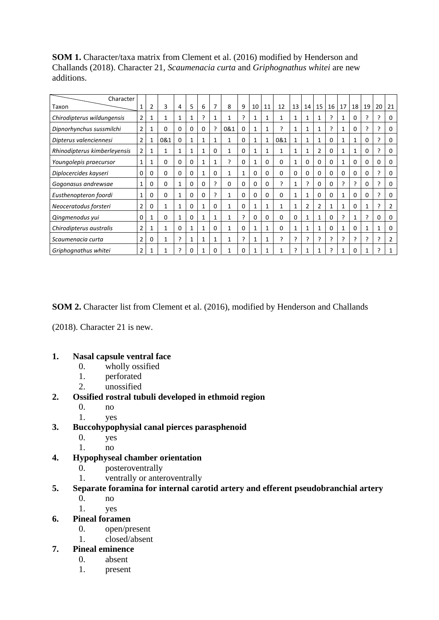**SOM 1.** Character/taxa matrix from Clement et al. (2016) modified by Henderson and Challands (2018). Character 21, *Scaumenacia curta* and *Griphognathus whitei* are new additions.

| Character                    |                |   |              |          |          |   |          |              |          |              |              |          |          |                |    |          |    |          |    |              |          |
|------------------------------|----------------|---|--------------|----------|----------|---|----------|--------------|----------|--------------|--------------|----------|----------|----------------|----|----------|----|----------|----|--------------|----------|
| Taxon                        |                | 2 | 3            | 4        | 5        | 6 | 7        | 8            | 9        | 10           | 11           | 12       | 13       | 14             | 15 | 16       | 17 | 18       | 19 | 20           | 21       |
| Chirodipterus wildungensis   | 2              |   | 1            | 1        | 1        | ς | 1        | 1            | ς        | 1            | 1            | 1        | 1        | 1              | 1  | ?        | 1  | 0        | ς  | ς            | 0        |
| Dipnorhynchus sussmilchi     | $\overline{2}$ |   | 0            | 0        | 0        | 0 | ?        | 0&1          | 0        | 1            | 1            | ς        | 1        | 1              | 1  | 5.       | 1  | 0        | ς  | ?            | 0        |
| Dipterus valenciennesi       | $\overline{2}$ |   | 0&1          | $\Omega$ | 1        |   |          | $\mathbf{1}$ | $\Omega$ | 1            | $\mathbf{1}$ | 0&1      | 1        | $\mathbf{1}$   | 1  | $\Omega$ | 1  |          | 0  | ς            | 0        |
| Rhinodipterus kimberleyensis | $\overline{2}$ | 1 |              |          | 1        |   | $\Omega$ | 1            | $\Omega$ | 1            | 1            | 1        |          | 1              | 2  | $\Omega$ | 1  |          | 0  | ς            | 0        |
| Youngolepis praecursor       |                |   | 0            | 0        | $\Omega$ |   |          | ς            | $\Omega$ | $\mathbf{1}$ | $\Omega$     | 0        |          | $\Omega$       | 0  | $\Omega$ |    | $\Omega$ | 0  | $\Omega$     | 0        |
| Diplocercides kayseri        | 0              | 0 | 0            | 0        | $\Omega$ |   | $\Omega$ | 1            | 1        | $\Omega$     | $\Omega$     | 0        | $\Omega$ | $\Omega$       | 0  | $\Omega$ | 0  | $\Omega$ | 0  | ς            | 0        |
| Gogonasus andrewsae          |                | 0 | 0            |          | $\Omega$ | 0 | ς        | $\Omega$     | $\Omega$ | $\Omega$     | 0            | ς        |          | ς              | 0  | $\Omega$ | ς  | ς        | 0  | ς            | 0        |
| Eusthenopteron foordi        |                | 0 | 0            |          | $\Omega$ | 0 | ς        | 1            | $\Omega$ | 0            | 0            | $\Omega$ | 1        | 1              | O  | $\Omega$ | 1  | $\Omega$ | 0  | ς            | 0        |
| Neoceratodus forsteri        | 2              | 0 |              |          | 0        | 1 | 0        | 1            | 0        | 1            | 1            | 1        | 1        | $\overline{2}$ | 2  | 1        | 1  | 0        |    | ?            | 2        |
| Qingmenodus yui              | 0              |   | 0            |          | $\Omega$ | 1 | 1        | $\mathbf{1}$ | ?        | 0            | 0            | $\Omega$ | $\Omega$ | 1              | 1  | $\Omega$ | 7  | 1        | ς  | $\Omega$     | $\Omega$ |
| Chirodipterus australis      | $\overline{2}$ |   | $\mathbf{1}$ | 0        | 1        |   | $\Omega$ | $\mathbf{1}$ | $\Omega$ | 1            | 1            | 0        |          | 1              | 1  | $\Omega$ | 1  | 0        |    | $\mathbf{1}$ | 0        |
| Scaumenacia curta            | 2              | 0 |              | э        | 1        |   |          | 1            | ς        | 1            | 1            | 2        | ς        | ς              |    | ς        | ς  | 2        | ς  | 2            | 2        |
| Griphognathus whitei         | 2              |   |              | っ        | 0        |   | $\Omega$ | 1            | 0        | 1            | 1            | 1        | ว        |                |    | ς        |    | 0        |    | ς            |          |

**SOM 2.** Character list from Clement et al. (2016), modified by Henderson and Challands

(2018). Character 21 is new.

#### **1. Nasal capsule ventral face**

- 0. wholly ossified
- 1. perforated
- 2. unossified

#### **2. Ossified rostral tubuli developed in ethmoid region**

- 0. no
- 1. yes
- **3. Buccohypophysial canal pierces parasphenoid** 
	- 0. yes
	- 1. no
- **4. Hypophyseal chamber orientation** 
	- 0. posteroventrally
	- 1. ventrally or anteroventrally

#### **5. Separate foramina for internal carotid artery and efferent pseudobranchial artery**

- 0. no
- 1. yes
- **6. Pineal foramen** 
	- 0. open/present
	- 1. closed/absent

### **7. Pineal eminence**

- 0. absent
- 1. present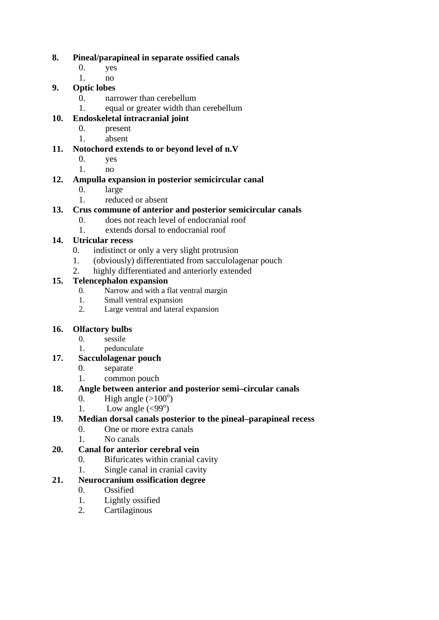#### **8. Pineal/parapineal in separate ossified canals**

- 0. yes
- 1. no

# **9. Optic lobes**

- 0. narrower than cerebellum
- 1. equal or greater width than cerebellum

# **10. Endoskeletal intracranial joint**

- 0. present
- 1. absent

### **11. Notochord extends to or beyond level of n.V**

- 0. yes
- 1. no

### **12. Ampulla expansion in posterior semicircular canal**

- 0. large
- 1. reduced or absent

# **13. Crus commune of anterior and posterior semicircular canals**

- 0. does not reach level of endocranial roof
- 1. extends dorsal to endocranial roof

# **14. Utricular recess**

- 0. indistinct or only a very slight protrusion
- 1. (obviously) differentiated from sacculolagenar pouch
- 2. highly differentiated and anteriorly extended

# **15. Telencephalon expansion**

- 0. Narrow and with a flat ventral margin
- 1. Small ventral expansion
- 2. Large ventral and lateral expansion

# **16. Olfactory bulbs**

- 0. sessile
- 1. pedunculate
- **17. Sacculolagenar pouch**
	- 0. separate
	- 1. common pouch

## **18. Angle between anterior and posterior semi–circular canals**

- 0. High angle  $(>100^{\circ})$
- 1. Low angle  $(\leq 99^\circ)$

### **19. Median dorsal canals posterior to the pineal–parapineal recess**

- 0. One or more extra canals
- 1. No canals

### **20. Canal for anterior cerebral vein**

- 0. Bifuricates within cranial cavity
- 1. Single canal in cranial cavity

### **21. Neurocranium ossification degree**

- 0. Ossified
- 1. Lightly ossified
- 2. Cartilaginous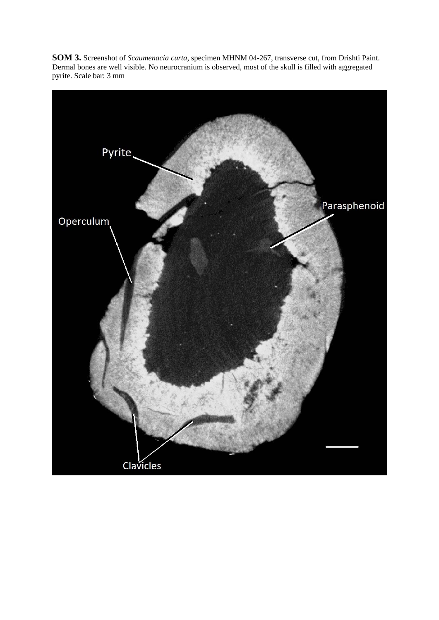**SOM 3.** Screenshot of *Scaumenacia curta*, specimen MHNM 04-267, transverse cut, from Drishti Paint. Dermal bones are well visible. No neurocranium is observed, most of the skull is filled with aggregated pyrite. Scale bar: 3 mm